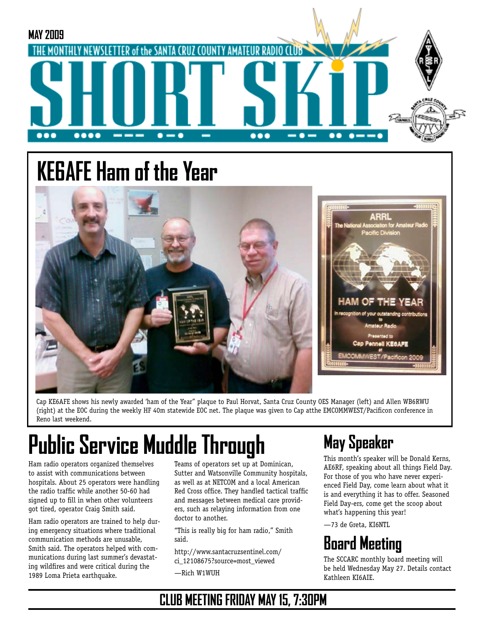

# **KE6AFE Ham of the Year**



Cap KE6AFE shows his newly awarded 'ham of the Year" plaque to Paul Horvat, Santa Cruz County OES Manager (left) and Allen WB6RWU (right) at the EOC during the weekly HF 40m statewide EOC net. The plaque was given to Cap atthe EMCOMMWEST/Pacificon conference in Reno last weekend.

# **Public Service Muddle Through**

Ham radio operators organized themselves to assist with communications between hospitals. About 25 operators were handling the radio traffic while another 50-60 had signed up to fill in when other volunteers got tired, operator Craig Smith said.

Ham radio operators are trained to help during emergency situations where traditional communication methods are unusable, Smith said. The operators helped with communications during last summer's devastating wildfires and were critical during the 1989 Loma Prieta earthquake.

Teams of operators set up at Dominican, Sutter and Watsonville Community hospitals, as well as at NETCOM and a local American Red Cross office. They handled tactical traffic and messages between medical care providers, such as relaying information from one doctor to another.

"This is really big for ham radio," Smith said.

http://www.santacruzsentinel.com/

ci\_12108675?source=most\_viewed

—Rich W1WUH

# **May Speaker**

This month's speaker will be Donald Kerns, AE6RF, speaking about all things Field Day. For those of you who have never experienced Field Day, come learn about what it is and everything it has to offer. Seasoned Field Day-ers, come get the scoop about what's happening this year!

—73 de Greta, KI6NTL

# **Board Meeting**

The SCCARC monthly board meeting will be held Wednesday May 27. Details contact Kathleen KI6AIE.

#### **CLUB MEETING FRIDAY MAY 15, 7:30PM**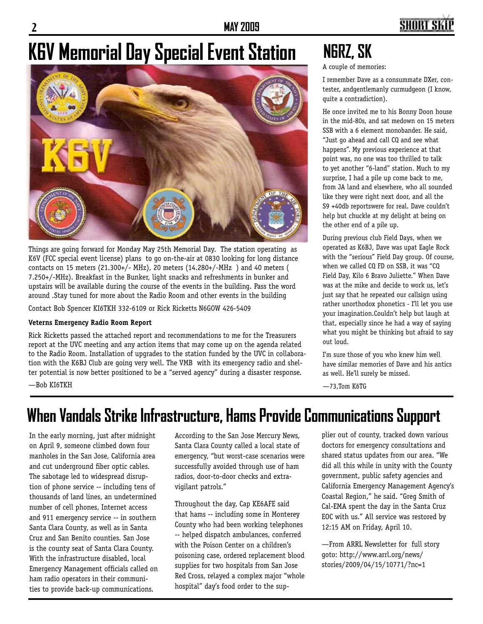**2 MAY 2009**

## **SHORT SI**

# **K6V Memorial Day Special Event Station**



Things are going forward for Monday May 25th Memorial Day. The station operating as K6V (FCC special event license) plans to go on-the-air at 0830 looking for long distance contacts on 15 meters (21.300+/- MHz), 20 meters (14.280+/-MHz ) and 40 meters ( 7.250+/-MHz). Breakfast in the Bunker, light snacks and refreshments in bunker and upstairs will be available during the course of the events in the building. Pass the word around .Stay tuned for more about the Radio Room and other events in the building

Contact Bob Spencer KI6TKH 332-6109 or Rick Ricketts N6GOW 426-5409

#### **Veterns Emergency Radio Room Report**

Rick Ricketts passed the attached report and recommendations to me for the Treasurers report at the UVC meeting and any action items that may come up on the agenda related to the Radio Room. Installation of upgrades to the station funded by the UVC in collaboration with the K6BJ Club are going very well. The VMB with its emergency radio and shelter potential is now better positioned to be a "served agency" during a disaster response.

—Bob KI6TKH

# **N6RZ, SK**

A couple of memories:

I remember Dave as a consummate DXer, contester, andgentlemanly curmudgeon (I know, quite a contradiction).

He once invited me to his Bonny Doon house in the mid-80s, and sat medown on 15 meters SSB with a 6 element monobander. He said, "Just go ahead and call CQ and see what happens". My previous experience at that point was, no one was too thrilled to talk to yet another "6-land" station. Much to my surprise, I had a pile up come back to me, from JA land and elsewhere, who all sounded like they were right next door, and all the S9 +40db reportswere for real. Dave couldn't help but chuckle at my delight at being on the other end of a pile up.

During previous club Field Days, when we operated as K6BJ, Dave was upat Eagle Rock with the "serious" Field Day group. Of course, when we called CQ FD on SSB, it was "CQ Field Day, Kilo 6 Bravo Juliette." When Dave was at the mike and decide to work us, let's just say that he repeated our callsign using rather unorthodox phonetics - I'll let you use your imagination.Couldn't help but laugh at that, especially since he had a way of saying what you might be thinking but afraid to say out loud.

I'm sure those of you who knew him well have similar memories of Dave and his antics as well. He'll surely be missed.

—73,Tom K6TG

## **When Vandals Strike Infrastructure, Hams Provide Communications Support**

In the early morning, just after midnight on April 9, someone climbed down four manholes in the San Jose, California area and cut underground fiber optic cables. The sabotage led to widespread disruption of phone service -- including tens of thousands of land lines, an undetermined number of cell phones, Internet access and 911 emergency service -- in southern Santa Clara County, as well as in Santa Cruz and San Benito counties. San Jose is the county seat of Santa Clara County. With the infrastructure disabled, local Emergency Management officials called on ham radio operators in their communities to provide back-up communications.

According to the San Jose Mercury News, Santa Clara County called a local state of emergency, "but worst-case scenarios were successfully avoided through use of ham radios, door-to-door checks and extravigilant patrols."

Throughout the day, Cap KE6AFE said that hams -- including some in Monterey County who had been working telephones -- helped dispatch ambulances, conferred with the Poison Center on a children's poisoning case, ordered replacement blood supplies for two hospitals from San Jose Red Cross, relayed a complex major "whole hospital" day's food order to the supplier out of county, tracked down various doctors for emergency consultations and shared status updates from our area. "We did all this while in unity with the County government, public safety agencies and California Emergency Management Agency's Coastal Region," he said. "Greg Smith of Cal-EMA spent the day in the Santa Cruz EOC with us." All service was restored by 12:15 AM on Friday, April 10.

—From ARRL Newsletter for full story goto: http://www.arrl.org/news/ stories/2009/04/15/10771/?nc=1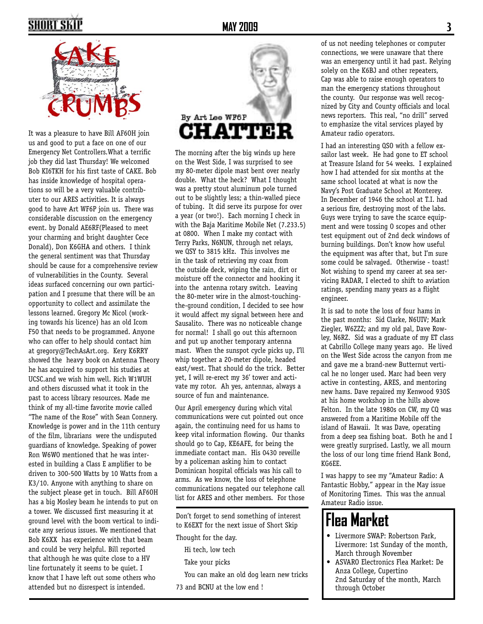# **SHORT SKI**



It was a pleasure to have Bill AF6OH join us and good to put a face on one of our Emergency Net Controllers.What a terrific job they did last Thursday! We welcomed Bob KI6TKH for his first taste of CAKE. Bob has inside knowledge of hospital operations so will be a very valuable contributer to our ARES activities. It is always good to have Art WF6P join us. There was considerable discussion on the emergency event. by Donald AE6RF(Pleased to meet your charming and bright daughter Cece Donald), Don K6GHA and others. I think the general sentiment was that Thursday should be cause for a comprehensive review of vulnerabilities in the County. Several ideas surfaced concerning our own participation and I presume that there will be an opportunity to collect and assimilate the lessons learned. Gregory Mc Nicol (working towards his licence) has an old Icom F50 that needs to be programmed. Anyone who can offer to help should contact him at gregory@TechAsArt.org. Kery K6RRY showed the heavy book on Antenna Theory he has acquired to support his studies at UCSC.and we wish him well. Rich W1WUH and others discussed what it took in the past to access library resources. Made me think of my all-time favorite movie called "The name of the Rose" with Sean Connery. Knowledge is power and in the 11th century of the film, librarians were the undisputed guardians of knowledge. Speaking of power Ron W6WO mentioned that he was interested in building a Class E amplifier to be driven to 300-500 Watts by 10 Watts from a K3/10. Anyone with anything to share on the subject please get in touch. Bill AF6OH has a big Mosley beam he intends to put on a tower. We discussed first measuring it at ground level with the boom vertical to indicate any serious issues. We mentioned that Bob K6XX has experience with that beam and could be very helpful. Bill reported that although he was quite close to a HV line fortunately it seems to be quiet. I know that I have left out some others who attended but no disrespect is intended.



The morning after the big winds up here on the West Side, I was surprised to see my 80-meter dipole mast bent over nearly double. What the heck? What I thought was a pretty stout aluminum pole turned out to be slightly less; a thin-walled piece of tubing. It did serve its purpose for over a year (or two!). Each morning I check in with the Baja Maritime Mobile Net (7.233.5) at 0800. When I make my contact with Terry Parks, N6NUN, through net relays, we QSY to 3815 kHz. This involves me in the task of retrieving my coax from the outside deck, wiping the rain, dirt or moisture off the connector and hooking it into the antenna rotary switch. Leaving the 80-meter wire in the almost-touchingthe-ground condition, I decided to see how it would affect my signal between here and Sausalito. There was no noticeable change for normal! I shall go out this afternoon and put up another temporary antenna mast. When the sunspot cycle picks up, I'll whip together a 20-meter dipole, headed east/west. That should do the trick. Better yet, I will re-erect my 36' tower and activate my rotor. Ah yes, antennas, always a source of fun and maintenance.

Our April emergency during which vital communications were cut pointed out once again, the continuing need for us hams to keep vital information flowing. Our thanks should go to Cap, KE6AFE, for being the immediate contact man. His 0430 reveille by a policeman asking him to contact Dominican hospital officials was his call to arms. As we know, the loss of telephone communications negated our telephone call list for ARES and other members. For those

Don't forget to send something of interest to K6EXT for the next issue of Short Skip

Thought for the day.

Hi tech, low tech

Take your picks

You can make an old dog learn new tricks

73 and BCNU at the low end !

of us not needing telephones or computer connections, we were unaware that there was an emergency until it had past. Relying solely on the K6BJ and other repeaters, Cap was able to raise enough operators to man the emergency stations throughout the county. Our response was well recognized by City and County officials and local news reporters. This real, "no drill" served to emphasize the vital services played by Amateur radio operators.

I had an interesting QSO with a fellow exsailor last week. He had gone to ET school at Treasure Island for 54 weeks. I explained how I had attended for six months at the same school located at what is now the Navy's Post Graduate School at Monterey. In December of 1946 the school at T.I. had a serious fire, destroying most of the labs. Guys were trying to save the scarce equipment and were tossing O scopes and other test equipment out of 2nd deck windows of burning buildings. Don't know how useful the equipment was after that, but I'm sure some could be salvaged. Otherwise - toast! Not wishing to spend my career at sea servicing RADAR, I elected to shift to aviation ratings, spending many years as a flight engineer.

It is sad to note the loss of four hams in the past months: Sid Clarke, N6UIV; Mark Ziegler, W6ZZZ; and my old pal, Dave Rowley, N6RZ. Sid was a graduate of my ET class at Cabrillo College many years ago. He lived on the West Side across the canyon from me and gave me a brand-new Butternut vertical he no longer used. Marc had been very active in contesting, ARES, and mentoring new hams. Dave repaired my Kenwood 930S at his home workshop in the hills above Felton. In the late 1980s on CW, my CQ was answered from a Maritime Mobile off the island of Hawaii. It was Dave, operating from a deep sea fishing boat. Both he and I were greatly surprised. Lastly, we all mourn the loss of our long time friend Hank Bond, KG6EE.

I was happy to see my "Amateur Radio: A Fantastic Hobby," appear in the May issue of Monitoring Times. This was the annual Amateur Radio issue.

## **Flea Market**

- • Livermore SWAP: Robertson Park, Livermore: 1st Sunday of the month, March through November
- • ASVARO Electronics Flea Market: De Anza College, Cupertino 2nd Saturday of the month, March through October